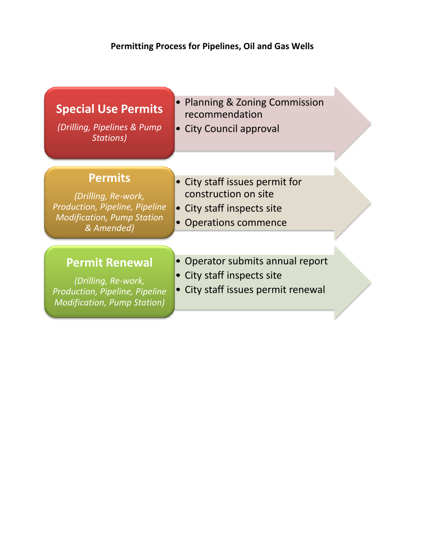## **Permitting Process for Pipelines, Oil and Gas Wells**

| <b>Special Use Permits</b><br>(Drilling, Pipelines & Pump<br><b>Stations)</b>                                              | • Planning & Zoning Commission<br>recommendation<br>• City Council approval                                   |  |
|----------------------------------------------------------------------------------------------------------------------------|---------------------------------------------------------------------------------------------------------------|--|
| <b>Permits</b><br>(Drilling, Re-work,<br>Production, Pipeline, Pipeline<br><b>Modification, Pump Station</b><br>& Amended) | • City staff issues permit for<br>construction on site<br>• City staff inspects site<br>• Operations commence |  |
| <b>Permit Renewal</b><br>(Drilling, Re-work,<br>Production, Pipeline, Pipeline<br><b>Modification, Pump Station)</b>       | • Operator submits annual report<br>• City staff inspects site<br>• City staff issues permit renewal          |  |
|                                                                                                                            |                                                                                                               |  |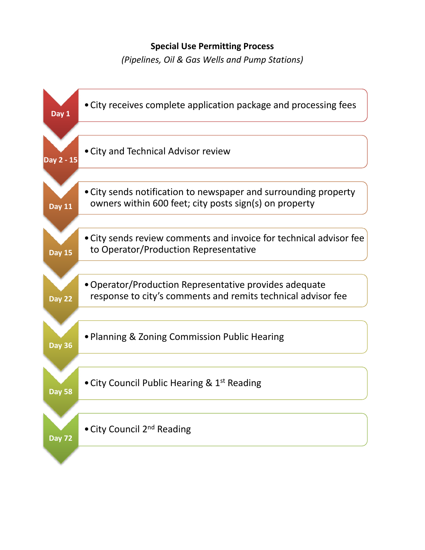## **Special Use Permitting Process**

*(Pipelines, Oil & Gas Wells and Pump Stations)*

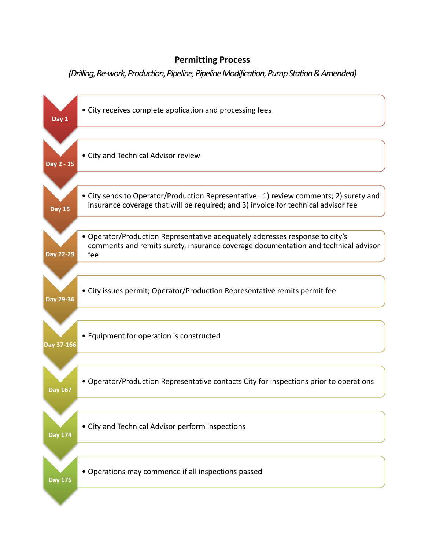## **Permitting Process**

*(Drilling,Re‐work,Production,Pipeline,PipelineModification,PumpStation&Amended)*